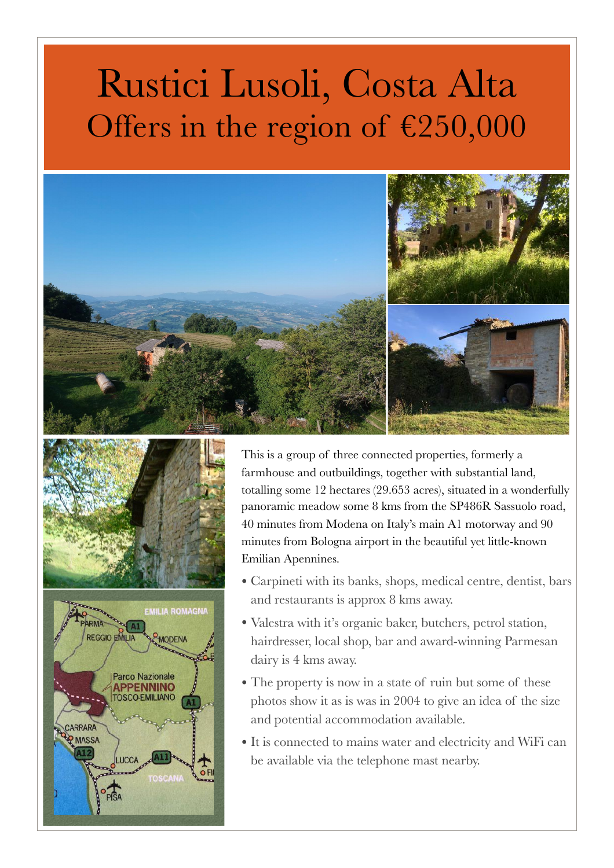## Rustici Lusoli, Costa Alta Offers in the region of €250,000







This is a group of three connected properties, formerly a farmhouse and outbuildings, together with substantial land, totalling some 12 hectares (29.653 acres), situated in a wonderfully panoramic meadow some 8 kms from the SP486R Sassuolo road, 40 minutes from Modena on Italy's main A1 motorway and 90 minutes from Bologna airport in the beautiful yet little-known Emilian Apennines.

- Carpineti with its banks, shops, medical centre, dentist, bars and restaurants is approx 8 kms away.
- Valestra with it's organic baker, butchers, petrol station, hairdresser, local shop, bar and award-winning Parmesan dairy is 4 kms away.
- The property is now in a state of ruin but some of these photos show it as is was in 2004 to give an idea of the size and potential accommodation available.
- It is connected to mains water and electricity and WiFi can be available via the telephone mast nearby.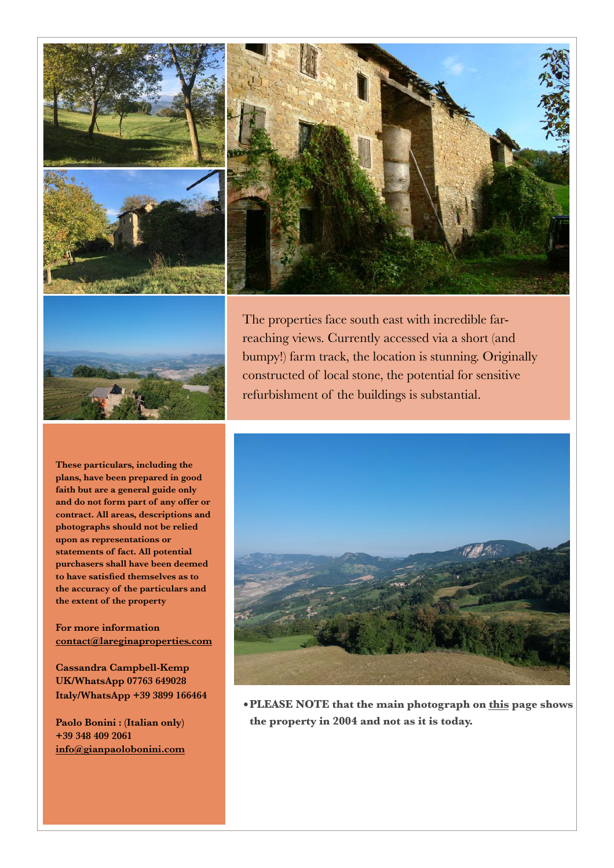



The properties face south east with incredible farreaching views. Currently accessed via a short (and bumpy!) farm track, the location is stunning. Originally constructed of local stone, the potential for sensitive refurbishment of the buildings is substantial.

**These particulars, including the plans, have been prepared in good faith but are a general guide only and do not form part of any offer or contract. All areas, descriptions and photographs should not be relied upon as representations or statements of fact. All potential purchasers shall have been deemed to have satisfied themselves as to the accuracy of the particulars and the extent of the property** 

## **For more information [contact@lareginaproperties.com](http://www.apple.com)**

**Cassandra Campbell-Kemp UK/WhatsApp 07763 649028 Italy/WhatsApp +39 3899 166464** 

**Paolo Bonini : (Italian only) +39 348 409 2061 [info@gianpaolobonini.com](http://www.apple.com)**



**•PLEASE NOTE that the main photograph on this page shows the property in 2004 and not as it is today.**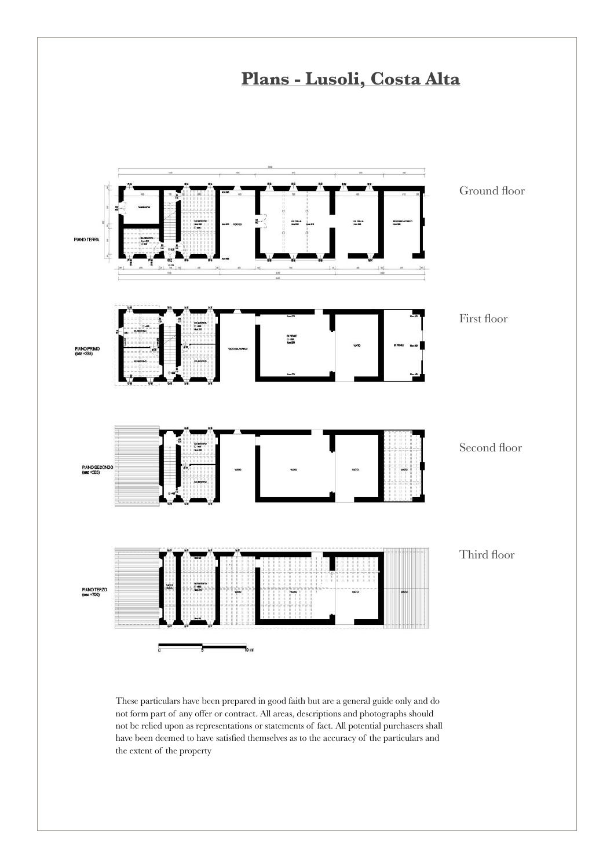

These particulars have been prepared in good faith but are a general guide only and do not form part of any offer or contract. All areas, descriptions and photographs should not be relied upon as representations or statements of fact. All potential purchasers shall have been deemed to have satisfied themselves as to the accuracy of the particulars and the extent of the property